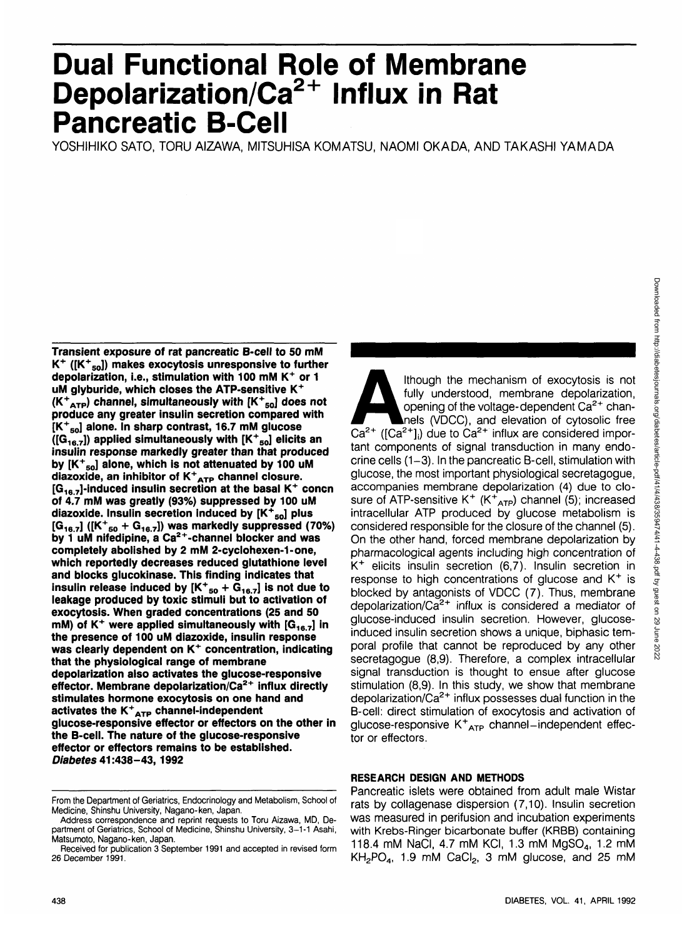# **Dual Functional Role of Membrane Depolarization/Ca2+ Influx in Rat Pancreatic B-Cell**

YOSHIHIKO SATO, TORU AIZAWA, MITSUHISA KOMATSU, NAOMI OKADA, AND TAKASHI YAMADA

**Transient exposure of rat pancreatic B-cell to 50 mM K<sup>+</sup> ([K<sup>+</sup> 50]) makes exocytosis unresponsive to further depolarization, i.e., stimulation with 100 mM K<sup>+</sup> or 1 uM glyburide, which closes the ATP-sensitive K<sup>+</sup> (K<sup>+</sup> ATP) channel, simultaneously with [K<sup>+</sup> 50] does not produce any greater insulin secretion compared with [K<sup>+</sup> 50] alone. In sharp contrast, 16.7 mM glucose ([G16 7]) applied simultaneously with [K<sup>+</sup> 50] elicits an insulin response markedly greater than that produced by [K<sup>+</sup> 50] alone, which is not attenuated by 100 uM diazoxide, an inhibitor of K<sup>+</sup> ATP channel closure. [G16 7]-induced insulin secretion at the basal K<sup>+</sup> concn of 4.7 mM was greatly (93%) suppressed by 100 uM diazoxide. Insulin secretion induced by [K+ 50] plus**  $[G_{16,7}]$  ( $[K^+_{50} + G_{16,7}]$ ) was markedly suppressed (70%) **by 1 uM nifedipine, a Ca2+-channel blocker and was completely abolished by 2 mM 2-cyclohexen-1-one, which reportedly decreases reduced glutathione level and blocks glucokinase. This finding indicates that insulin release induced by [K+ so + G167] is not due to leakage produced by toxic stimuli but to activation of exocytosis. When graded concentrations (25 and 50** mM) of K<sup>+</sup> were applied simultaneously with [G<sub>16.7</sub>] in **the presence of 100 uM diazoxide, insulin response was clearly dependent on K<sup>+</sup> concentration, indicating that the physiological range of membrane depolarization also activates the glucose-responsive effector. Membrane depolarization/Ca2+ influx directly stimulates hormone exocytosis on one hand and activates the K<sup>+</sup> ATP channel-independent glucose-responsive effector or effectors on the other in the B-cell. The nature of the glucose-responsive effector or effectors remains to be established. Diabetes 41:438-43,1992**

Ithough the mechanism of exocytosis is not<br>
fully understood, membrane depolarization,<br>
opening of the voltage-dependent Ca<sup>2+</sup> chan-<br>
nels (VDCC), and elevation of cytosolic free<br>
Ca<sup>2+</sup> ([Ca<sup>2+</sup>]<sub>i</sub>) due to Ca<sup>2+</sup> influx fully understood, membrane depolarization, opening of the voltage-dependent Ca<sup>2+</sup> channels (VDCC), and elevation of cytosolic free tant components of signal transduction in many endocrine cells (1-3). In the pancreatic B-cell, stimulation with glucose, the most important physiological secretagogue, accompanies membrane depolarization (4) due to closure of ATP-sensitive  $K^+$   $(K^+_{ATP})$  channel (5); increased intracellular ATP produced by glucose metabolism is considered responsible for the closure of the channel (5). On the other hand, forced membrane depolarization by pharmacological agents including high concentration of K+ elicits insulin secretion (6,7). Insulin secretion in response to high concentrations of glucose and K<sup>+</sup> is blocked by antagonists of VDCC (7). Thus, membrane depolarization/Ca<sup>2+</sup> influx is considered a mediator of glucose-induced insulin secretion. However, glucoseinduced insulin secretion shows a unique, biphasic temporal profile that cannot be reproduced by any other secretagogue (8,9). Therefore, a complex intracellular signal transduction is thought to ensue after glucose stimulation (8,9). In this study, we show that membrane depolarization/Ca2+ influx possesses dual function in the B-cell: direct stimulation of exocytosis and activation of glucose-responsive K<sup>+</sup><sub>ATP</sub> channel-independent effector or effectors.

#### From the Department of Geriatrics, Endocrinology and Metabolism, School of Medicine, Shinshu University, Nagano-ken, Japan.

## **RESEARCH DESIGN AND METHODS**

Pancreatic islets were obtained from adult male Wistar rats by collagenase dispersion (7,10). Insulin secretion was measured in perifusion and incubation experiments with Krebs-Ringer bicarbonate buffer (KRBB) containing 118.4 mM NaCl, 4.7 mM KCl, 1.3 mM MgSO<sub>4</sub>, 1.2 mM  $KH<sub>2</sub>PO<sub>4</sub>$ , 1.9 mM CaCl<sub>2</sub>, 3 mM glucose, and 25 mM

Address correspondence and reprint requests to Toru Aizawa, MD, De-partment of Geriatrics, School of Medicine, Shinshu University, 3-1-1 Asahi, Matsumoto, Nagano-ken, Japan.

Received for publication 3 September 1991 and accepted in revised form 26 December 1991.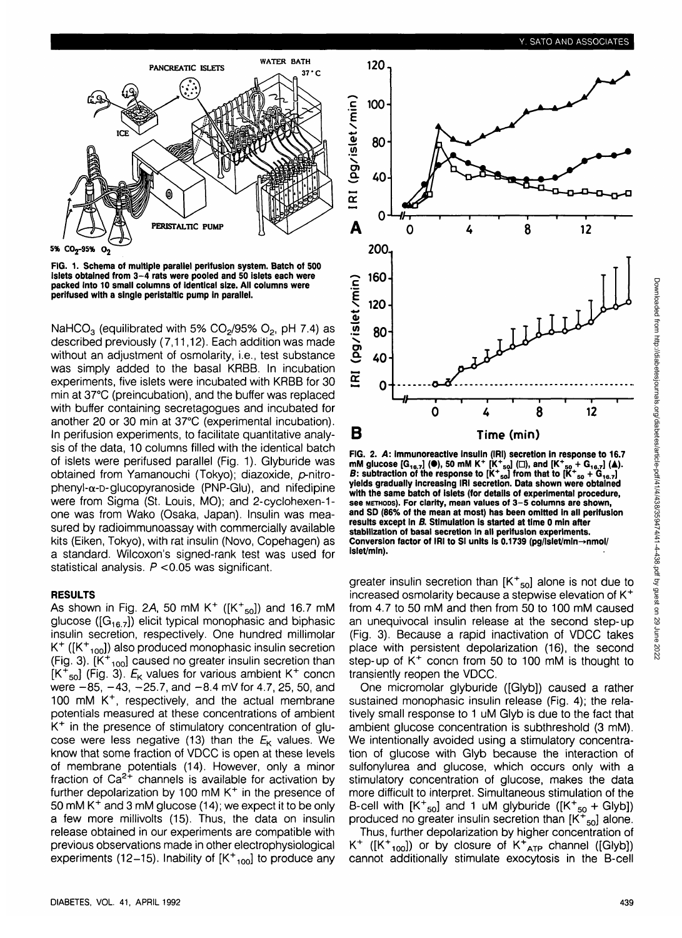

**FIG. 1. Schema of multiple parallel perifusion system. Batch of 500 islets obtained from 3-4 rats were pooled and 50 islets each were packed into 10 small columns of identical size. All columns were perifused with a single peristaltic pump in parallel.**

NaHCO<sub>3</sub> (equilibrated with 5% CO<sub>2</sub>/95% O<sub>2</sub>, pH 7.4) as described previously (7,11,12). Each addition was made without an adjustment of osmolarity, i.e., test substance was simply added to the basal KRBB. In incubation experiments, five islets were incubated with KRBB for 30 min at 37°C (preincubation), and the buffer was replaced with buffer containing secretagogues and incubated for another 20 or 30 min at 37°C (experimental incubation). In perifusion experiments, to facilitate quantitative analysis of the data, 10 columns filled with the identical batch of islets were perifused parallel (Fig. 1). Glyburide was obtained from Yamanouchi (Tokyo); diazoxide, p-nitro $phenyl-\alpha-D-glucopy$  randing (PNP-Glu), and nifedipine were from Sigma (St. Louis, MO); and 2-cyclohexen-1 one was from Wako (Osaka, Japan). Insulin was measured by radioimmunoassay with commercially available kits (Eiken, Tokyo), with rat insulin (Novo, Copehagen) as a standard. Wilcoxon's signed-rank test was used for statistical analysis.  $P < 0.05$  was significant.

### **RESULTS**

As shown in Fig. 2A, 50 mM  $K^+$  ( $[K^+_{50}]$ ) and 16.7 mM glucose ( $[G_{16,7}]$ ) elicit typical monophasic and biphasic insulin secretion, respectively. One hundred millimolar  $K^+$  ([ $K^+_{100}$ ]) also produced monophasic insulin secretion (Fig. 3).  $\widetilde{K^+}_{100}$  caused no greater insulin secretion than  $[K^{\mp}_{50}]$  (Fig. 3).  $E_K$  values for various ambient K<sup>+</sup> concn were  $-85$ ,  $-43$ ,  $-25.7$ , and  $-8.4$  mV for 4.7, 25, 50, and 100 mM K<sup>+</sup> , respectively, and the actual membrane potentials measured at these concentrations of ambient K+ in the presence of stimulatory concentration of glucose were less negative (13) than the  $E_K$  values. We know that some fraction of VDCC is open at these levels of membrane potentials (14). However, only a minor fraction of Ca2+ channels is available for activation by further depolarization by 100 mM K+ in the presence of 50 mM K<sup>+</sup> and 3 mM glucose (14); we expect it to be only a few more millivolts (15). Thus, the data on insulin release obtained in our experiments are compatible with previous observations made in other electrophysiological provided ebeervaluate made in ether electrophysicial provided.



**FIG. 2. A: immunoreactive insulin (IRI) secretion in response to 16.7** mM glucose [G<sub>16.7</sub>] (●), 50 mM K<sup>+</sup> [K<sup>+</sup><sub>so</sub>] (□), and [K<sup>+</sup><sub>so</sub> + G<sub>16.7</sub>] (▲).<br>*B*: subtraction of the response to [K<sup>+</sup><sub>so</sub>] from that to [K<sup>+</sup><sub>so</sub> + G<sub>16.7</sub>]<br>yields gradually increasing IRI secretion. Data shown wer **with the same batch of islets (for details of experimental procedure, see METHODS). For clarity, mean values of 3-5 columns are shown, and SD (86% of the mean at most) has been omitted In all perifusion results except in B. Stimulation is started at time 0 min after stabilization of basal secretion in all perifusion experiments. Conversion factor of IRI to SI units is 0.1739 (pg/lslet/mln->nmol/ islet/min).**

greater insulin secretion than  $\left[\mathsf{K^{+}}_{50}\right]$  alone is not due to increased osmolarity because a stepwise elevation of K<sup>+</sup> from 4.7 to 50 mM and then from 50 to 100 mM caused an unequivocal insulin release at the second step-up (Fig. 3). Because a rapid inactivation of VDCC takes place with persistent depolarization (16), the second step-up of  $K^+$  concn from 50 to 100 mM is thought to transiently reopen the VDCC.

One micromolar glyburide ([Glyb]) caused a rather sustained monophasic insulin release (Fig. 4); the relatively small response to 1 uM Glyb is due to the fact that ambient glucose concentration is subthreshold (3 mM). We intentionally avoided using a stimulatory concentration of glucose with Glyb because the interaction of sulfonylurea and glucose, which occurs only with a stimulatory concentration of glucose, makes the data more difficult to interpret. Simultaneous stimulation of the B-cell with  $[K^+_{50}]$  and 1 uM glyburide ( $[K^+_{50} + Glyb]$ ) produced no greater insulin secretion than  $[K^+_{50}]$  alone.

Thus, further depolarization by higher concentration of  $K^+$  ([K<sup>+</sup><sub>100</sub>]) or by closure of  $K^+_{ATP}$  channel ([Glyb]) cannot additionally stimulate exocytosis in the B-cell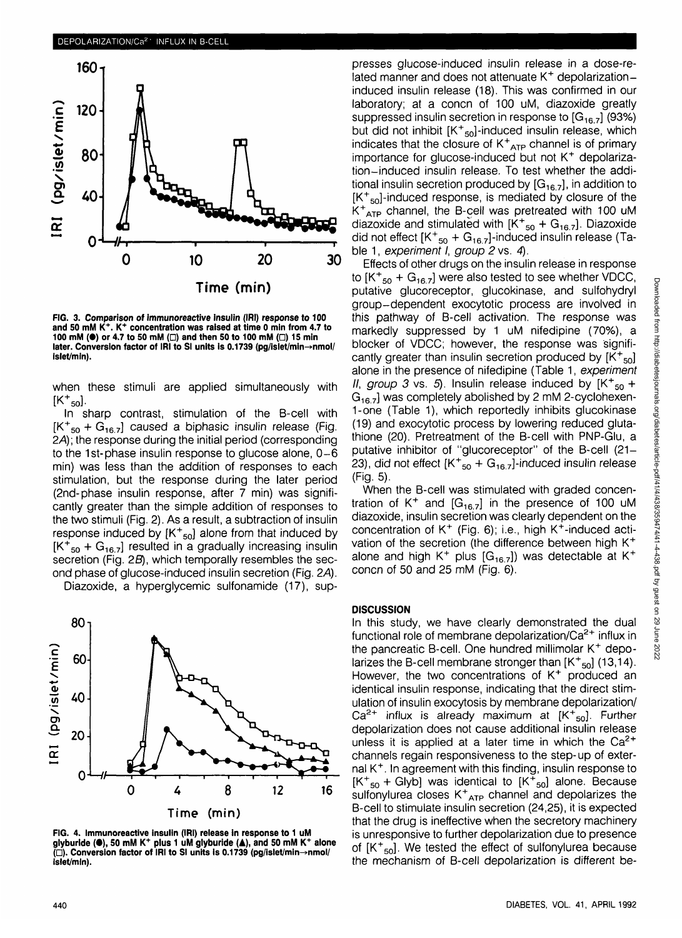

**FIG. 3. Comparison of immunoreactive insulin (IRI) response to 100 and 50 mM K<sup>+</sup> . K<sup>+</sup> concentration was raised at time 0 min from 4.7 to** 100 mM (<sup>\*</sup>) or 4.7 to 50 mM ( $\Box$ ) and then 50 to 100 mM ( $\Box$ ) 15 min later. Conversion factor of IRI to SI units is 0.1739 (pg/islet/min→nmol/ **islet/min).**

when these stimuli are applied simultaneously with  $\mathsf{[K^{+}_{.50}]}$ .

In sharp contrast, stimulation of the B-cell with  $[K^+{}_{50} + G_{16.7}]$  caused a biphasic insulin release (Fig. 2A); the response during the initial period (corresponding to the 1st-phase insulin response to glucose alone, 0-6 min) was less than the addition of responses to each stimulation, but the response during the later period (2nd-phase insulin response, after 7 min) was significantly greater than the simple addition of responses to the two stimuli (Fig. 2). As a result, a subtraction of insulin response induced by  $[K^+_{50}]$  alone from that induced by  $\mathsf{[K^{+}}_{50}$  +  $\mathsf{G}_{16.7}]$  resulted in a gradually increasing insulin secretion (Fig. 2B), which temporally resembles the second phase of glucose-induced insulin secretion (Fig. 2A).

Diazoxide, a hyperglycemic sulfonamide (17), sup-



**FIG. 4. Immunoreactive insulin (IRI) release in response to 1 uM glyburide (●), 50 mM K<sup>+</sup> plus 1 uM glyburide (▲), and 50 mM K<sup>+</sup> alone<br>(□). Conversion factor of IRI to SI units is 0.1739 (pg/islet/min→nmol/ islet/min).**

presses glucose-induced insulin release in a dose-re-.<br>lated manner and does not attenuate K<sup>+</sup> depolarizationinduced insulin release (18). This was confirmed in our laboratory; at a concn of 100 uM, diazoxide greatly suppressed insulin secretion in response to  $[G_{16,7}]$  (93%) but did not inhibit  $[K^+{}_{50}]$ -induced insulin release, which indicates that the closure of  $K^+_{ATP}$  channel is of primary importance for glucose-induced but not K<sup>+</sup> depolarization-induced insulin release. To test whether the additional insulin secretion produced by  $[G_{16,7}]$ , in addition to  $[K^+]$ -induced response, is mediated by closure of the  $K^+$ <sub>ATP</sub> channel, the B-cell was pretreated with 100 uM diazoxide and stimulated with  $K_{50}^+$  + G<sub>167</sub>]. Diazoxide did not effect  $[K^+{}_{50} + G_{16.7}]$ -induced insulin release (Table 1, experiment I, group 2 vs. 4).

Effects of other drugs on the insulin release in response to  $\text{[K+}_{50} + \text{G}_{16.7}$  were also tested to see whether VDCC, putative glucoreceptor, glucokinase, and sulfohydryl group-dependent exocytotic process are involved in this pathway of B-cell activation. The response was markedly suppressed by 1 uM nifedipine (70%), a blocker of VDCC; however, the response was significantly greater than insulin secretion produced by  $[\text{K}^+_{50}]$ alone in the presence of nifedipine (Table 1, experiment II, group 3 vs. 5). Insulin release induced by  $\left[K^{+}{}_{50}+g\right]$  $G_{16,7}$ ] was completely abolished by 2 mM 2-cyclohexen-1-one (Table 1), which reportedly inhibits glucokinase (19) and exocytotic process by lowering reduced glutathione (20). Pretreatment of the B-cell with PNP-Glu, a putative inhibitor of "glucoreceptor" of the B-cell (21- 23), did not effect  $[K^+_{50} + G_{16.7}]$ -induced insulin release  $(Fiq. 5)$ .

When the B-cell was stimulated with graded concentration of K<sup>+</sup> and  $[G_{16.7}]$  in the presence of 100 uM diazoxide, insulin secretion was clearly dependent on the concentration of K<sup>+</sup> (Fig. 6); i.e., high K<sup>+</sup>-induced activation of the secretion (the difference between high K<sup>+</sup> alone and high K<sup>+</sup> plus [G<sub>16.7</sub>]) was detectable at K<sup>+</sup> concn of 50 and 25 mM (Fig. 6).

#### **DISCUSSION**

In this study, we have clearly demonstrated the dual functional role of membrane depolarization/Ca<sup>2+</sup> influx in the pancreatic B-cell. One hundred millimolar K<sup>+</sup> depolarizes the B-cell membrane stronger than  $\textmd{[K}^+{}_{50}\textmd{]}$  (13,14). However, the two concentrations of K<sup>+</sup> produced an identical insulin response, indicating that the direct stimulation of insulin exocytosis by membrane depolarization/  $Ca^{2+}$  influx is already maximum at  $K^{+}$ <sub>50</sub>]. Further depolarization does not cause additional insulin release unless it is applied at a later time in which the  $Ca^{2+}$ channels regain responsiveness to the step-up of external K<sup>+</sup> . In agreement with this finding, insulin response to  $[K^+{}_{50}$  + Glyb] was identical to  $[K^+{}_{50}]$  alone. Because sulfonylurea closes  $K^+_{ATP}$  channel and depolarizes the B-cell to stimulate insulin secretion (24,25), it is expected that the drug is ineffective when the secretory machinery is unresponsive to further depolarization due to presence of  $[K^+_{50}]$ . We tested the effect of sulfonylurea because the mechanism of B-cell depolarization is different be-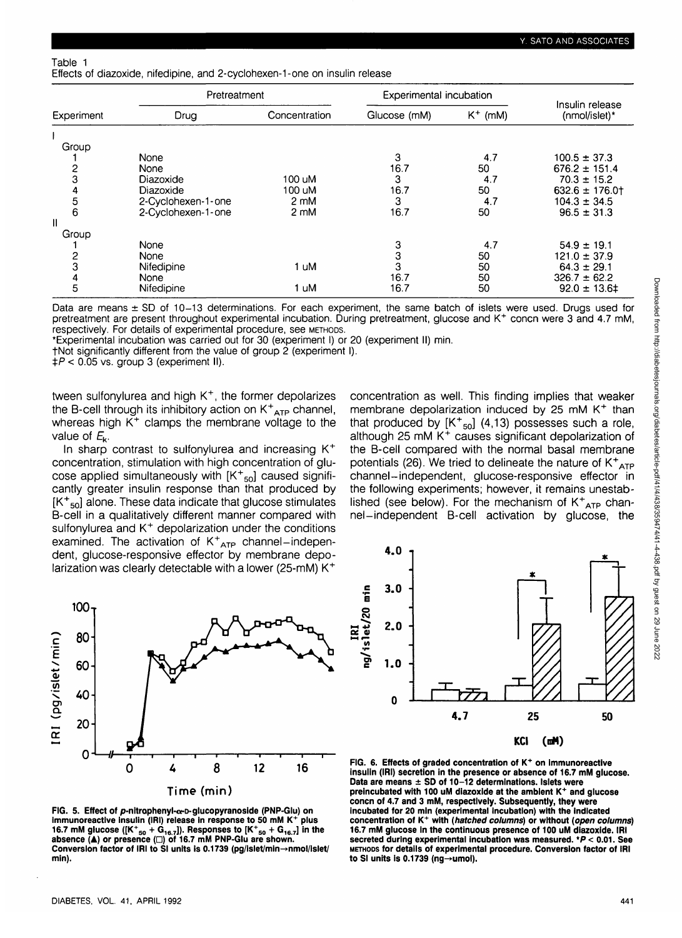#### Table 1 Effects of diazoxide, nifedipine, and 2-cyclohexen-1-one on insulin release

| Experiment    | Pretreatment       |               | Experimental incubation |            |                                  |
|---------------|--------------------|---------------|-------------------------|------------|----------------------------------|
|               | Drug               | Concentration | Glucose (mM)            | $K^+$ (mM) | Insulin release<br>(nmol/islet)* |
|               |                    |               |                         |            |                                  |
| Group         |                    |               |                         |            |                                  |
|               | None               |               | 3                       | 4.7        | $100.5 \pm 37.3$                 |
|               | None               |               | 16.7                    | 50         | $676.2 \pm 151.4$                |
| $\frac{2}{3}$ | Diazoxide          | 100 uM        | 3                       | 4.7        | $70.3 \pm 15.2$                  |
| 4             | Diazoxide          | 100 uM        | 16.7                    | 50         | $632.6 \pm 176.0$                |
| 5             | 2-Cyclohexen-1-one | 2 mM          | 3                       | 4.7        | $104.3 \pm 34.5$                 |
| 6             | 2-Cyclohexen-1-one | 2 mM          | 16.7                    | 50         | $96.5 \pm 31.3$                  |
| II.           |                    |               |                         |            |                                  |
| Group         |                    |               |                         |            |                                  |
|               | None               |               | 3                       | 4.7        | $54.9 \pm 19.1$                  |
|               | None               |               | 3                       | 50         | $121.0 \pm 37.9$                 |
| $\frac{2}{3}$ | Nifedipine         | 1 uM          | 3                       | 50         | $64.3 \pm 29.1$                  |
| 4             | None               |               | 16.7                    | 50         | $326.7 \pm 62.2$                 |
| 5             | Nifedipine         | uM            | 16.7                    | 50         | $92.0 \pm 13.6 \pm 1$            |

Data are means ± SD of 10-13 determinations. For each experiment, the same batch of islets were used. Drugs used for pretreatment are present throughout experimental incubation. During pretreatment, glucose and K<sup>+</sup> concn were 3 and **4.7** mM, respectively. For details of experimental procedure, see METHODS.

\*Experimental incubation was carried out for 30 (experiment I) or 20 (experiment **II)** min.

tNot significantly different from the value of group 2 (experiment I).

 $\ddagger P$  < 0.05 vs. group 3 (experiment II).

tween sulfonylurea and high K<sup>+</sup>, the former depolarizes the B-cell through its inhibitory action on K<sup>+</sup><sub>ATP</sub> channel, whereas high  $K^+$  clamps the membrane voltage to the value of  $E_k$ .

In sharp contrast to sulfonylurea and increasing K<sup>+</sup> concentration, stimulation with high concentration of glucose applied simultaneously with  $\textsf{[K}^{\texttt{+}}_{\texttt{50}}$  caused significantly greater insulin response than that produced by [K<sup>+</sup><sub>50</sub>] alone. These data indicate that glucose stimulates B-cell in a qualitatively different manner compared with sulfonylurea and K<sup>+</sup> depolarization under the conditions examined. The activation of K<sup>+</sup><sub>ATP</sub> channel-independent, glucose-responsive effector by membrane depolarization was clearly detectable with a lower (25-mM) K<sup>+</sup>

concentration as well. This finding implies that weaker membrane depolarization induced by 25 mM K<sup>+</sup> than that produced by  $[K^+_{50}]$  (4,13) possesses such a role, although 25 mM  $K^+$  causes significant depolarization of the B-cell compared with the normal basal membrane potentials (26). We tried to delineate the nature of  $K^+_{ATP}$ channel-independent, glucose-responsive effector in the following experiments; however, it remains unestablished (see below). For the mechanism of  $K^+_{ATP}$  channel-independent B-cell activation by glucose, the



**FIG. 5. Effect of p-nitrophenyl-o-D-glucopyranoside (PNP-Glu) on** immunoreactive insulin (IRI) release in response to 50 mM K<sup>+′</sup> plus<br>16.7 mM glucose ([K<sup>+</sup><sub>50</sub> + G<sub>16.7</sub>]). Responses to [K<sup>+</sup><sub>50</sub> + G<sub>16.7</sub>] in the<br>absence (▲) or presence (□) of 16.7 mM PNP-Glu are shown. Conversion factor of IRI to SI units is 0.1739 (pg/islet/min→nmol/islet/ **min).**



**FIG. 6. Effects of graded concentration of K<sup>+</sup> on immunoreactive insulin (IRI) secretion in the presence or absence of 16.7 mM glucose. Data are means ± SD of 10-12 determinations. Islets were preincubated with 100 uM diazoxide at the ambient K<sup>+</sup> and glucose concn of 4.7 and 3 mM, respectively. Subsequently, they were incubated for 20 min (experimental incubation) with the indicated concentration of K<sup>+</sup> with {hatched columns) or without {open columns) 16.7 mM glucose in the continuous presence of 100 uM diazoxide. IRI secreted during experimental incubation was measured. \*P < 0.01. See METHODS for details of experimental procedure. Conversion factor of IRI** to SI units is 0.1739 (ng→umol).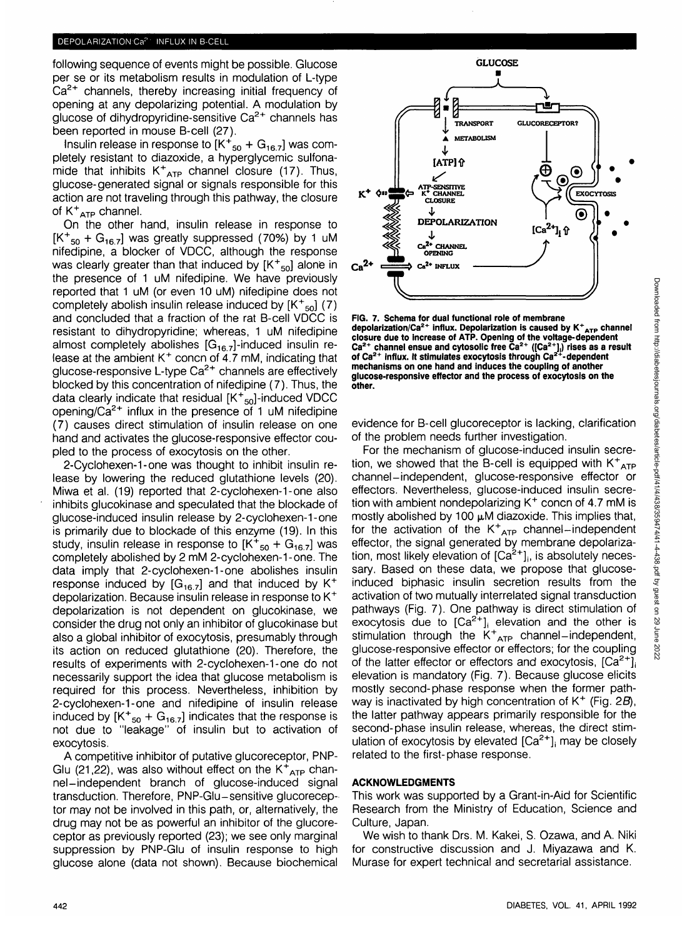#### DEPOLARIZATION Ca<sup>p -</sup> INFLUX IN B-CELL

following sequence of events might be possible. Glucose per se or its metabolism results in modulation of L-type Ca<sup>2+</sup> channels, thereby increasing initial frequency of opening at any depolarizing potential. A modulation by glucose of dihydropyridine-sensitive Ca<sup>2+</sup> channels has been reported in mouse B-cell (27).

Insulin release in response to [K $^+{}_{50}$  + G $^{}_{16.7}]$  was completely resistant to diazoxide, a hyperglycemic sulfonamide that inhibits  $K^+_{ATP}$  channel closure (17). Thus, glucose-generated signal or signals responsible for this action are not traveling through this pathway, the closure of K<sup>+</sup><sub>ATP</sub> channe

On the other hand, insulin release in response to  $[K^+{}_{50} + G_{16.7}]$  was greatly suppressed (70%) by 1 uM nifedipine, a blocker of VDCC, although the response was clearly greater than that induced by  $\mathsf{[K^+}_{50}]$  alone in the presence of 1 uM nifedipine. We have previously reported that 1 uM (or even 10 uM) nifedipine does not completely abolish insulin release induced by [K<sup>+</sup><sub>50</sub>] (7) and concluded that a fraction of the rat B-cell VDCC is resistant to dihydropyridine; whereas, 1 uM nifedipine almost completely abolishes  $[G_{16.7}]$ -induced insulin release at the ambient  $K^+$  concn of 4.7 mM, indicating that glucose-responsive L-type Ca<sup>2+</sup> channels are effectively blocked by this concentration of nifedipine (7). Thus, the data clearly indicate that residual [K<sup>+</sup><sub>50</sub>]-induced VDCC opening/Ca<sup>2+</sup> influx in the presence of 1 uM nifedipine (7) causes direct stimulation of insulin release on one hand and activates the glucose-responsive effector coupled to the process of exocytosis on the other.

2-Cyclohexen-1-one was thought to inhibit insulin release by lowering the reduced glutathione levels (20). Miwa et al. (19) reported that 2-cyclohexen-1-one also inhibits glucokinase and speculated that the blockade of glucose-induced insulin release by 2-cyclohexen-1-one is primarily due to blockade of this enzyme (19). In this study, insulin release in response to  $[K^+{}_{50}$  +  $G_{16.7}]$  was completely abolished by 2 mM 2-cyclohexen-1-one. The data imply that 2-cyclohexen-1-one abolishes insulin response induced by  $[G_{16,7}]$  and that induced by K<sup>+</sup> depolarization. Because insulin release in response to  $K^+$ depolarization is not dependent on glucokinase, we consider the drug not only an inhibitor of glucokinase but also a global inhibitor of exocytosis, presumably through its action on reduced glutathione (20). Therefore, the results of experiments with 2-cyclohexen-1-one do not necessarily support the idea that glucose metabolism is required for this process. Nevertheless, inhibition by 2-cyclohexen-1-one and nifedipine of insulin release induced by  $\mathsf{[K^+_{50}+G_{16.7}]}$  indicates that the response is not due to "leakage" of insulin but to activation of exocytosis.

A competitive inhibitor of putative glucoreceptor, PNP-Glu (21,22), was also without effect on the K $t_{ATP}$  channel-independent branch of glucose-induced signal transduction. Therefore, PNP-Glu-sensitive glucoreceptor may not be involved in this path, or, alternatively, the drug may not be as powerful an inhibitor of the glucoreceptor as previously reported (23); we see only marginal suppression by PNP-Glu of insulin response to high glucose alone (data not shown). Because biochemical



**FIG. 7. Schema for dual functional role of membrane depolarization/Ca2+ influx. Depolarization is caused by K<sup>+</sup> ATP channel** closure due to increase of ATP. Opening of the voltage-dependent<br>Ca<sup>2+</sup> channel ensue and cytosolic free Ca<sup>2+</sup> ([Ca<sup>2+</sup>],) rises as a result<br>of Ca<sup>2+</sup> influx. It stimulates exocytosis through Ca<sup>2+</sup>-dependent **mechanisms on one hand and induces the coupling of another glucose-responsive effector and the process of exocytosis on the other.**

evidence for B-cell glucoreceptor is lacking, clarification of the problem needs further investigation.

For the mechanism of glucose-induced insulin secretion, we showed that the B-cell is equipped with  $K^+_{ATP}$ channel-independent, glucose-responsive effector or effectors. Nevertheless, glucose-induced insulin secretion with ambient nondepolarizing K<sup>+</sup> concn of 4.7 mM is mostly abolished by 100  $\mu$ M diazoxide. This implies that, for the activation of the K<sup>+</sup><sub>ATP</sub> channel-independent effector, the signal generated by membrane depolarization, most likely elevation of  $[Ca<sup>2+</sup>]$ , is absolutely necessary. Based on these data, we propose that glucoseinduced biphasic insulin secretion results from the activation of two mutually interrelated signal transduction pathways (Fig. 7). One pathway is direct stimulation of exocytosis due to  $[Ca^{2+}]$  elevation and the other is stimulation through the  $K^+_{ATP}$  channel-independent, glucose-responsive effector or effectors; for the coupling of the latter effector or effectors and exocytosis,  $[Ca^{2+}]_i$ elevation is mandatory (Fig. 7). Because glucose elicits mostly second-phase response when the former pathway is inactivated by high concentration of  $K^+$  (Fig. 2B), the latter pathway appears primarily responsible for the second-phase insulin release, whereas, the direct stimulation of exocytosis by elevated  $[Ca<sup>2+</sup>]$  may be closely related to the first-phase response.

#### **ACKNOWLEDGMENTS**

This work was supported by a Grant-in-Aid for Scientific Research from the Ministry of Education, Science and Culture, Japan.

We wish to thank Drs. M. Kakei, S. Ozawa, and A. Niki for constructive discussion and J. Miyazawa and K. Murase for expert technical and secretarial assistance.